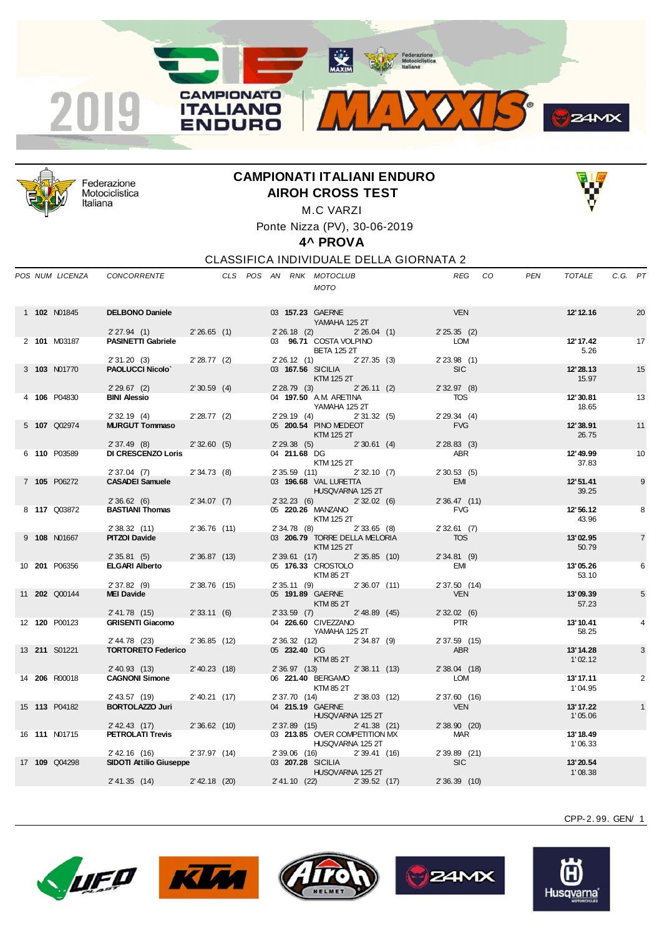



Federazione Motociclistica Italiana

## **CAMPIONATI ITALIANI ENDURO AIROH CROSS TEST**



M.C VARZI Ponte Nizza (PV), 30-06-2019

**4^ PROVA**

CLASSIFICA INDIVIDUALE DELLA GIORNATA 2

|  | POS NUM LICENZA      | <b>CONCORRENTE</b>             |                 |  |                | CLS POS AN RNK MOTOCLUB<br><b>MOTO</b>            |                 | REG            | CO. | <b>PEN</b> | <b>TOTALE</b>        | C.G. PT |                |
|--|----------------------|--------------------------------|-----------------|--|----------------|---------------------------------------------------|-----------------|----------------|-----|------------|----------------------|---------|----------------|
|  | 1 102 N01845         | <b>DELBONO Daniele</b>         |                 |  |                | 03 157.23 GAERNE                                  |                 | <b>VEN</b>     |     |            | 12' 12.16            |         | 20             |
|  |                      |                                |                 |  |                | YAMAHA 125 2T                                     |                 |                |     |            |                      |         |                |
|  |                      | 2'27.94(1)                     | 2'26.65(1)      |  | $2'26.18$ (2)  |                                                   | 2'26.04(1)      | $2'25.35$ (2)  |     |            |                      |         |                |
|  | 2 101 M03187         | <b>PASINETTI Gabriele</b>      |                 |  |                | 03 96.71 COSTA VOLPINO                            |                 | LOM            |     |            | 12' 17.42            |         | 17             |
|  |                      | 2'31.20(3)                     | $2'28.77$ (2)   |  | 2'26.12(1)     | <b>BETA 125 2T</b>                                | $2' 27.35$ (3)  | $2' 23.98$ (1) |     |            | 5.26                 |         |                |
|  | 3 103 N01770         | <b>PAOLUCCI Nicolo'</b>        |                 |  |                | 03 167.56 SICILIA                                 |                 | <b>SIC</b>     |     |            | 12'28.13             |         | 15             |
|  |                      |                                |                 |  |                | <b>KTM 125 2T</b>                                 |                 |                |     |            | 15.97                |         |                |
|  |                      | $2'29.67$ (2)                  | $2'30.59$ (4)   |  | 2'28.79(3)     |                                                   | 2'26.11(2)      | 2'32.97(8)     |     |            |                      |         |                |
|  | 4 106 P04830         | <b>BINI Alessio</b>            |                 |  |                | 04 197.50 A.M. ARETINA                            |                 | <b>TOS</b>     |     |            | 12'30.81             |         | 13             |
|  |                      | 2'32.19(4)                     | $2'28.77$ (2)   |  | 2'29.19(4)     | YAMAHA 125 2T                                     | 2'31.32(5)      | 2'29.34(4)     |     |            | 18.65                |         |                |
|  | 5 107 Q02974         | <b>MURGUT Tommaso</b>          |                 |  |                | 05 200.54 PINO MEDEOT                             |                 | <b>FVG</b>     |     |            | 12'38.91             |         | 11             |
|  |                      |                                |                 |  |                | <b>KTM 125 2T</b>                                 |                 |                |     |            | 26.75                |         |                |
|  |                      | 2'37.49(8)                     | 2'32.60(5)      |  | 2'29.38(5)     |                                                   | 2'30.61(4)      | $2'28.83$ (3)  |     |            |                      |         |                |
|  | 6 110 P03589         | <b>DI CRESCENZO Loris</b>      |                 |  | 04 211.68 DG   |                                                   |                 | <b>ABR</b>     |     |            | 12' 49.99            |         | 10             |
|  |                      | 2'37.04(7)                     | 2'34.73(8)      |  | $2'35.59$ (11) | KTM 125 2T                                        | 2'32.10(7)      | 2'30.53(5)     |     |            | 37.83                |         |                |
|  | 7 105 P06272         | <b>CASADEI Samuele</b>         |                 |  |                | 03 196.68 VAL LURETTA                             |                 | <b>EMI</b>     |     |            | 12'51.41             |         | 9              |
|  |                      |                                |                 |  |                | HUSQVARNA 125 2T                                  |                 |                |     |            | 39.25                |         |                |
|  |                      | 2'36.62(6)                     | 2'34.07(7)      |  | 2'32.23(6)     |                                                   | 2'32.02(6)      | 2'36.47(11)    |     |            |                      |         |                |
|  | 8 117 Q03872         | <b>BASTIANI Thomas</b>         |                 |  |                | 05 220.26 MANZANO                                 |                 | <b>FVG</b>     |     |            | 12'56.12             |         | 8              |
|  |                      | 2' 38.32 (11)                  | 2'36.76(11)     |  | 2' 34.78 (8)   | KTM 125 2T                                        | $2'33.65$ (8)   | 2'32.61(7)     |     |            | 43.96                |         |                |
|  | 9 108 N01667         | <b>PITZOI Davide</b>           |                 |  |                | 03 206.79 TORRE DELLA MELORIA                     |                 | <b>TOS</b>     |     |            | 13'02.95             |         | $\overline{7}$ |
|  |                      |                                |                 |  |                | <b>KTM 125 2T</b>                                 |                 |                |     |            | 50.79                |         |                |
|  |                      | 2'35.81(5)                     | 2'36.87(13)     |  | 2' 39.61 (17)  |                                                   | 2'35.85(10)     | $2'34.81$ (9)  |     |            |                      |         |                |
|  | 10 201 P06356        | <b>ELGARI Alberto</b>          |                 |  |                | 05 176.33 CROSTOLO                                |                 | EMI            |     |            | 13'05.26             |         | 6              |
|  |                      | $2'37.82$ (9)                  | $2'38.76$ (15)  |  | 2'35.11(9)     | KTM 85 2T                                         | 2'36.07(11)     | 2' 37.50 (14)  |     |            | 53.10                |         |                |
|  | 11 <b>202</b> Q00144 | <b>MEI Davide</b>              |                 |  |                | 05 191.89 GAERNE                                  |                 | <b>VEN</b>     |     |            | 13'09.39             |         | 5              |
|  |                      |                                |                 |  |                | <b>KTM 85 2T</b>                                  |                 |                |     |            | 57.23                |         |                |
|  |                      | 2' 41.78 (15)                  | 2'33.11(6)      |  | $2'33.59$ (7)  |                                                   | $2'$ 48.89 (45) | 2'32.02(6)     |     |            |                      |         |                |
|  | 12 <b>120</b> P00123 | <b>GRISENTI Giacomo</b>        |                 |  |                | 04 226.60 CIVEZZANO                               |                 | <b>PTR</b>     |     |            | 13' 10.41            |         | 4              |
|  |                      | 2' 44.78 (23)                  | 2'36.85(12)     |  | 2' 36.32 (12)  | YAMAHA 125 2T                                     | $2'34.87$ (9)   | 2' 37.59 (15)  |     |            | 58.25                |         |                |
|  | 13 211 S01221        | <b>TORTORETO Federico</b>      |                 |  | 05 232.40 DG   |                                                   |                 | <b>ABR</b>     |     |            | 13' 14.28            |         | 3              |
|  |                      |                                |                 |  |                | <b>KTM 85 2T</b>                                  |                 |                |     |            | 1'02.12              |         |                |
|  |                      | $2'$ 40.93 (13)                | $2'$ 40.23 (18) |  | 2' 36.97 (13)  |                                                   | 2'38.11(13)     | 2' 38.04 (18)  |     |            |                      |         |                |
|  | 14 206 R00018        | <b>CAGNONI Simone</b>          |                 |  |                | 06 221.40 BERGAMO                                 |                 | LOM            |     |            | 13'17.11             |         | $\overline{2}$ |
|  |                      | 2' 43.57 (19)                  | $2'$ 40.21 (17) |  | 2' 37.70 (14)  | KTM 85 2T                                         | $2'38.03$ (12)  | 2'37.60 (16)   |     |            | 1'04.95              |         |                |
|  | 15 113 P04182        | <b>BORTOLAZZO Juri</b>         |                 |  |                | 04 215.19 GAERNE                                  |                 | <b>VEN</b>     |     |            | 13' 17.22            |         |                |
|  |                      |                                |                 |  |                | HUSQVARNA 125 2T                                  |                 |                |     |            | 1'05.06              |         |                |
|  |                      | $2'$ 42.43 (17)                | 2'36.62(10)     |  | $2'37.89$ (15) |                                                   | $2' 41.38$ (21) | $2'38.90$ (20) |     |            |                      |         |                |
|  | 16 <b>111 N01715</b> | <b>PETROLATI Trevis</b>        |                 |  |                | 03 213.85 OVER COMPETITION MX<br>HUSQVARNA 125 2T |                 | <b>MAR</b>     |     |            | 13' 18.49<br>1'06.33 |         |                |
|  |                      | 2' 42.16 (16)                  | 2'37.97(14)     |  | 2'39.06 (16)   |                                                   | 2'39.41(16)     | 2' 39.89 (21)  |     |            |                      |         |                |
|  | 17 109 Q04298        | <b>SIDOTI Attilio Giuseppe</b> |                 |  |                | 03 207.28 SICILIA                                 |                 | <b>SIC</b>     |     |            | 13'20.54             |         |                |
|  |                      |                                |                 |  |                | HUSQVARNA 125 2T                                  |                 |                |     |            | 1'08.38              |         |                |
|  |                      | 2' 41.35 (14)                  | $2'$ 42.18 (20) |  | 2' 41.10 (22)  |                                                   | 2'39.52(17)     | $2'36.39$ (10) |     |            |                      |         |                |
|  |                      |                                |                 |  |                |                                                   |                 |                |     |            |                      |         |                |









CPP-2. 99. GEN/ 1

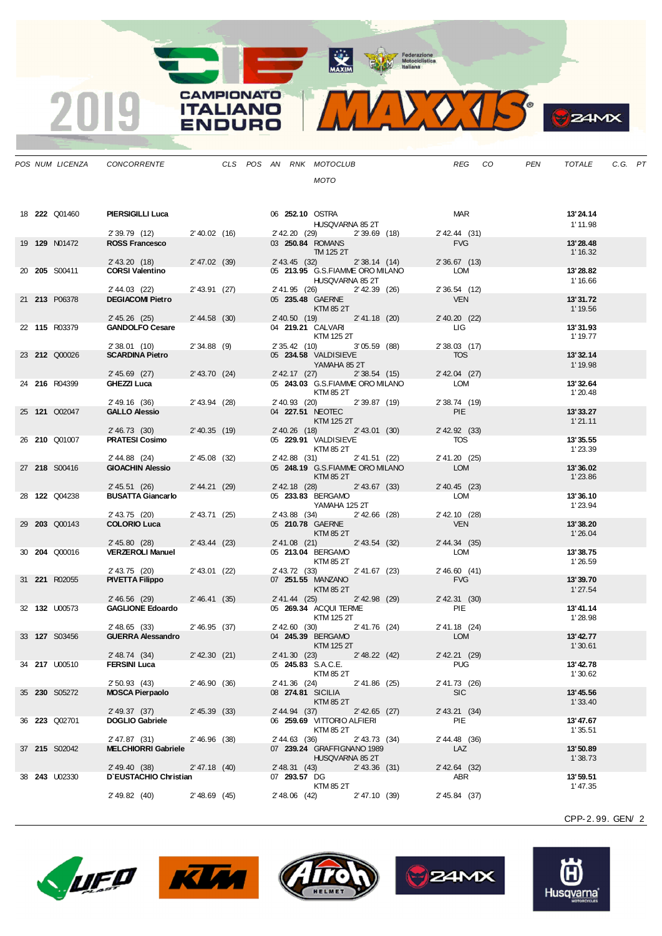MAXIM Rederazione

3  $\Diamond \Box$  $\mathbf{V}_{\mathbf{A}}$ 

|                      | POS NUM LICENZA      | CONCORRENTE CLS POS AN RNK MOTOCLUB                     |                   |               |                                                        |                 |                             | REG CO | PEN | TOTALE              | C.G. PT |  |
|----------------------|----------------------|---------------------------------------------------------|-------------------|---------------|--------------------------------------------------------|-----------------|-----------------------------|--------|-----|---------------------|---------|--|
|                      |                      |                                                         |                   |               | MOTO                                                   |                 |                             |        |     |                     |         |  |
|                      |                      |                                                         |                   |               |                                                        |                 |                             |        |     |                     |         |  |
|                      |                      |                                                         |                   |               |                                                        |                 |                             |        |     |                     |         |  |
|                      | 18 <b>222</b> Q01460 | <b>PIERSIGILLI Luca</b>                                 |                   |               | 06 252.10 OSTRA                                        |                 | <b>MAR</b>                  |        |     | 13'24.14            |         |  |
|                      |                      |                                                         |                   |               | HUSQVARNA 85 2T                                        |                 |                             |        |     | 1' 11.98            |         |  |
| 19 <b>129</b> N01472 |                      | 2' 39.79 (12) 2' 40.02 (16)<br><b>ROSS Francesco</b>    |                   |               | 2' 42.20 (29) 2' 39.69 (18)<br>03 <b>250.84 ROMANS</b> |                 | 2' 42.44 (31)<br><b>FVG</b> |        |     | 13'28.48            |         |  |
|                      |                      |                                                         |                   |               | TM 125 2T                                              |                 |                             |        |     | 1' 16.32            |         |  |
|                      |                      | 2' 43.20 (18) 2' 47.02 (39)                             |                   |               | 2' 43.45 (32) 2' 38.14 (14)                            |                 | $2'36.67$ (13)              |        |     |                     |         |  |
| 20 205 S00411        |                      | <b>CORSI Valentino</b>                                  |                   |               | 05 213.95 G.S.FIAMME ORO MILANO                        |                 | <b>LOM</b>                  |        |     | 13'28.82            |         |  |
|                      |                      |                                                         |                   |               | HUSQVARNA 85 2T                                        |                 | 2' 36.54 (12)               |        |     | 1' 16.66            |         |  |
| 21 213 P06378        |                      | 2' 44.03 (22)<br><b>DEGIACOMI Pietro</b>                | 2' 43.91 (27)     |               | 2' 41.95 (26) 2' 42.39 (26)<br>05 235.48 GAERNE        |                 | <b>VEN</b>                  |        |     | 13'31.72            |         |  |
|                      |                      |                                                         |                   |               | <b>KTM 85 2T</b>                                       |                 |                             |        |     | 1' 19.56            |         |  |
|                      |                      | 2' 45.26 (25) 2' 44.58 (30)                             |                   |               | 2' 40.50 (19) 2' 41.18 (20)                            |                 | 2' 40.20 (22)               |        |     |                     |         |  |
| 22 115 R03379        |                      | <b>GANDOLFO Cesare</b>                                  |                   |               | 04 219.21 CALVARI                                      |                 | <b>LIG</b>                  |        |     | 13'31.93            |         |  |
|                      |                      | $2'38.01$ (10)                                          | $2'34.88$ (9)     |               | KTM 125 2T<br>2' 35.42 (10) 3' 05.59 (88)              |                 | $2'38.03$ (17)              |        |     | 1' 19.77            |         |  |
| 23 <b>212</b> Q00026 |                      | <b>SCARDINA Pietro</b>                                  |                   |               | 05 234.58 VALDISIEVE                                   |                 | <b>TOS</b>                  |        |     | 13'32.14            |         |  |
|                      |                      |                                                         |                   |               | YAMAHA 85 2T                                           |                 |                             |        |     | 1'19.98             |         |  |
|                      |                      | $2'45.69$ (27)                                          | $2'$ 43.70 $(24)$ |               | 2' 42.17 (27) 2' 38.54 (15)                            |                 | 2' 42.04 (27)               |        |     |                     |         |  |
| 24 216 R04399        |                      | GHEZZI Luca                                             |                   |               | 05 243.03 G.S. FIAMME ORO MILANO<br>KTM 85 2T          |                 | <b>LOM</b>                  |        |     | 13'32.64<br>1'20.48 |         |  |
|                      |                      | 2' 49.16 (36)                                           | 2'43.94 (28)      |               | 2'40.93 (20) 2'39.87 (19)                              |                 | 2' 38.74 (19)               |        |     |                     |         |  |
| 25 <b>121 Q02047</b> |                      | <b>GALLO Alessio</b>                                    |                   |               | 04 227.51 NEOTEC                                       |                 | PIE                         |        |     | 13'33.27            |         |  |
|                      |                      |                                                         |                   |               | KTM 125 2T                                             |                 |                             |        |     | 1'21.11             |         |  |
|                      |                      | 2' 46.73 (30) 2' 40.35 (19)                             |                   |               | 2' 40.26 (18) 2' 43.01 (30)                            |                 | 2' 42.92 (33)               |        |     |                     |         |  |
| 26 <b>210</b> Q01007 |                      | <b>PRATESI Cosimo</b>                                   |                   |               | 05 229.91 VALDISIEVE<br>KTM 85 2T                      |                 | <b>TOS</b>                  |        |     | 13'35.55<br>1'23.39 |         |  |
|                      |                      | 2' 44.88 (24) 2' 45.08 (32)                             |                   |               | 2'42.88 (31) 2'41.51 (22)                              |                 | 2' 41.20 (25)               |        |     |                     |         |  |
| 27 218 S00416        |                      | <b>GIOACHIN Alessio</b>                                 |                   |               | 05 248.19 G.S.FIAMME ORO MILANO                        |                 | <b>LOM</b>                  |        |     | 13'36.02            |         |  |
|                      |                      |                                                         |                   |               | KTM 85 2T                                              |                 |                             |        |     | 1'23.86             |         |  |
| 28 <b>122</b> Q04238 |                      | 2' 45.51 (26) 2' 44.21 (29)<br><b>BUSATTA Giancarlo</b> |                   |               | 2' 42.18 (28) 2' 43.67 (33)<br>05 233.83 BERGAMO       |                 | $2'$ 40.45 (23)<br>LOM      |        |     | 13'36.10            |         |  |
|                      |                      |                                                         |                   |               | YAMAHA 125 2T                                          |                 |                             |        |     | 1'23.94             |         |  |
|                      |                      | 2' 43.75 (20)                                           | 2'43.71 (25)      |               | 2' 43.88 (34) 2' 42.66 (28)                            |                 | 2' 42.10 (28)               |        |     |                     |         |  |
| 29 203 Q00143        |                      | <b>COLORIO Luca</b>                                     |                   |               | 05 210.78 GAERNE                                       |                 | <b>VEN</b>                  |        |     | 13'38.20            |         |  |
|                      |                      | <b>Contract</b><br>2' 45.80 (28)                        | 2' 43.44 (23)     |               | KTM 85 2T<br>2' 41.08 (21) 2' 43.54 (32)               |                 | 2' 44.34 (35)               |        |     | 1'26.04             |         |  |
| 30 <b>204</b> Q00016 |                      | <b>VERZEROLI Manuel</b>                                 |                   |               | 05 213.04 BERGAMO                                      |                 | LOM                         |        |     | 13'38.75            |         |  |
|                      |                      |                                                         |                   |               | KTM 85 2T                                              |                 |                             |        |     | 1'26.59             |         |  |
|                      |                      | $2'$ 43.75 (20)                                         | $2'$ 43.01 (22)   |               | 2' 43.72 (33) 2' 41.67 (23)                            |                 | 2'46.60(41)                 |        |     |                     |         |  |
| 31 <b>221</b> R02055 |                      | <b>PIVETTA Filippo</b>                                  |                   |               | 07 <b>251.55 MANZANO</b><br>KTM 85 2T                  |                 | <b>FVG</b>                  |        |     | 13'39.70<br>1'27.54 |         |  |
|                      |                      | 2' 46.56 (29) 2' 46.41 (35)                             |                   |               | 2'41.44 (25) 2'42.98 (29)                              |                 | $2'$ 42.31 (30)             |        |     |                     |         |  |
| 32 132 U00573        |                      | <b>GAGLIONE Edoardo</b>                                 |                   |               | 05 269.34 ACQUI TERME                                  |                 | PIE                         |        |     | 13'41.14            |         |  |
|                      |                      |                                                         |                   |               | KTM 125 2T                                             |                 |                             |        |     | 1'28.98             |         |  |
| 33 <b>127</b> S03456 |                      | 2' 48.65 (33)<br><b>GUERRA Alessandro</b>               | 2'46.95(37)       |               | 2' 42.60 (30) 2' 41.76 (24)<br>04 245.39 BERGAMO       |                 | 2' 41.18 (24)<br>LOM        |        |     | 13'42.77            |         |  |
|                      |                      |                                                         |                   |               | KTM 125 2T                                             |                 |                             |        |     | 1'30.61             |         |  |
|                      |                      | 2' 48.74 (34)                                           | $2'$ 42.30 (21)   |               | 2' 41.30 (23) 2' 48.22 (42)                            |                 | 2' 42.21 (29)               |        |     |                     |         |  |
| 34 <b>217</b> U00510 |                      | <b>FERSINI Luca</b>                                     |                   |               | 05 245.83 S.A.C.E.                                     |                 | <b>PUG</b>                  |        |     | 13'42.78            |         |  |
|                      |                      |                                                         |                   |               | KTM 85 2T                                              |                 | 2' 41.73 (26)               |        |     | 1'30.62             |         |  |
| 35 230 S05272        |                      | 2' 50.93 (43)<br><b>MOSCA Pierpaolo</b>                 | 2'46.90(36)       | 2' 41.36 (24) | 08 274.81 SICILIA                                      | $2' 41.86$ (25) | <b>SIC</b>                  |        |     | 13'45.56            |         |  |
|                      |                      |                                                         |                   |               | KTM 85 2T                                              |                 |                             |        |     | 1'33.40             |         |  |
|                      |                      | 2' 49.37 (37)                                           | 2' 45.39 (33)     | 2' 44.94 (37) |                                                        | $2'$ 42.65 (27) | 2' 43.21 (34)               |        |     |                     |         |  |
| 36 223 Q02701        |                      | <b>DOGLIO Gabriele</b>                                  |                   |               | 06 259.69 VITTORIO ALFIERI                             |                 | PIE                         |        |     | 13'47.67            |         |  |
|                      |                      | 2' 47.87 (31)                                           | 2'46.96(38)       | 2' 44.63 (36) | KTM 85 2T                                              | $2'$ 43.73 (34) | 2' 44.48 (36)               |        |     | 1'35.51             |         |  |
| 37 215 S02042        |                      | <b>MELCHIORRI Gabriele</b>                              |                   |               | 07 239.24 GRAFFIGNANO 1989                             |                 | LAZ                         |        |     | 13'50.89            |         |  |
|                      |                      |                                                         |                   |               | HUSQVARNA 85 2T                                        |                 |                             |        |     | 1'38.73             |         |  |
|                      |                      | 2' 49.40 (38)                                           | $2' 47.18$ (40)   | 2' 48.31 (43) |                                                        | $2'$ 43.36 (31) | 2' 42.64 (32)               |        |     |                     |         |  |
| 38 243 U02330        |                      | D'EUSTACHIO Christian                                   |                   | 07 293.57 DG  | KTM 85 2T                                              |                 | ABR                         |        |     | 13'59.51<br>1'47.35 |         |  |
|                      |                      | 2' 49.82 (40)                                           | $2'$ 48.69 (45)   | 2' 48.06 (42) |                                                        | 2' 47.10 (39)   | 2' 45.84 (37)               |        |     |                     |         |  |
|                      |                      |                                                         |                   |               |                                                        |                 |                             |        |     |                     |         |  |

2019

**CAMPIONATO** 

**ITALIANO** 

**ENDURO** 









CPP-2. 99. GEN/ 2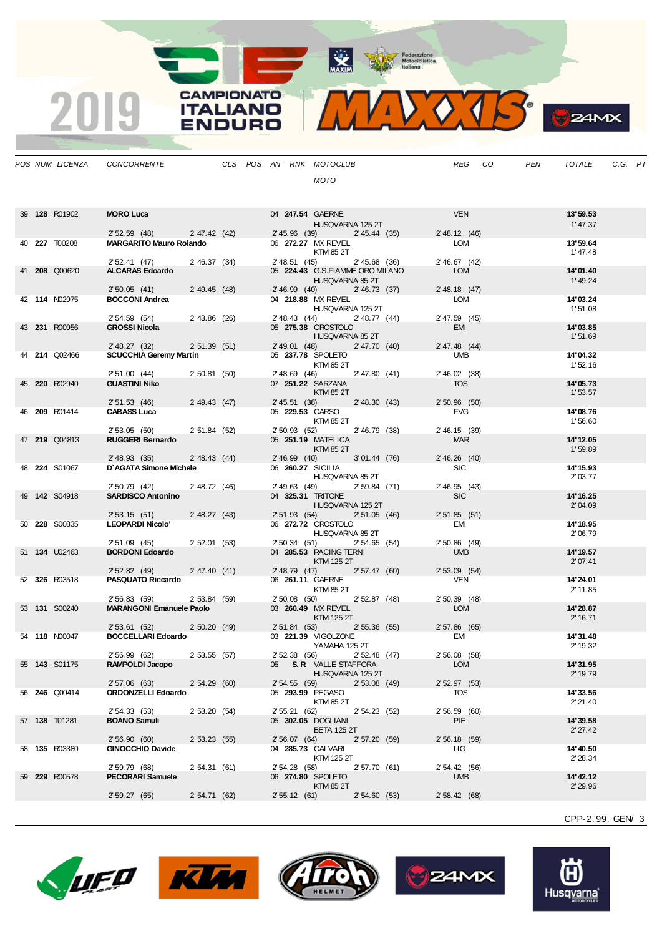Federazione<br>
Motociclistica<br>
Italiana

MAXIM

**CAMPIONATO** 

**ITALIANO** 

**ENDURO** 

 $\overline{\mathbf{2}}$ 

| POS NUM LICENZA      | CONCORRENTE                                                 | CLS POS AN RNK MOTOCLUB                                             | <b>REG</b><br>CO       | <b>PEN</b><br><b>TOTALE</b><br>C.G. PT |
|----------------------|-------------------------------------------------------------|---------------------------------------------------------------------|------------------------|----------------------------------------|
|                      |                                                             | <b>MOTO</b>                                                         |                        |                                        |
| 39 128 R01902        | <b>MORO Luca</b>                                            | 04 247.54 GAERNE                                                    | <b>VEN</b>             | 13'59.53                               |
|                      |                                                             | HUSQVARNA 125 2T                                                    |                        | 1' 47.37                               |
|                      | 2' 47.42 (42)<br>2'52.59(48)                                | 2' 45.96 (39) 2' 45.44 (35)                                         | 2' 48.12 (46)          |                                        |
| 40 227 T00208        | <b>MARGARITO Mauro Rolando</b>                              | 06 272.27 MX REVEL<br>KTM 85 2T                                     | LOM                    | 13'59.64<br>1' 47.48                   |
| 41 208 Q00620        | 2'46.37(34)<br>2' 52.41 (47)                                | 2' 48.51 (45)<br>2'45.68 (36)                                       | 2' 46.67 (42)          | 14'01.40                               |
|                      | <b>ALCARAS Edoardo</b>                                      | 05 224.43 G.S.FIAMME ORO MILANO<br>HUSQVARNA 85 2T                  | LOM<br>$2'$ 48.18 (47) | 1'49.24                                |
|                      | 2'50.05(41)<br>2' 49.45 (48)                                | 2' 46.99 (40) 2' 46.73 (37)<br>04 218.88 MX REVEL                   |                        | 14'03.24                               |
| 42 114 N02975        | <b>BOCCONI Andrea</b><br>2' 54.59 (54)<br>$2'$ 43.86 $(26)$ | HUSQVARNA 125 2T<br>2' 48.43 (44) 2' 48.77 (44)                     | LOM<br>2' 47.59 (45)   | 1'51.08                                |
| 43 231 R00956        | <b>GROSSI Nicola</b>                                        | 05 275.38 CROSTOLO                                                  | EMI                    | 14'03.85                               |
|                      | <b>Contract</b><br>2'51.39(51)<br>2' 48.27 (32)             | HUSQVARNA 85 2T<br>2' 49.01 (48) 2' 47.70 (40)                      | 2' 47.48 (44)          | 1'51.69                                |
| 44 214 Q02466        | <b>SCUCCHIA Geremy Martin</b>                               | 05 237.78 SPOLETO                                                   | <b>UMB</b>             | 14'04.32                               |
|                      | 2' 51.00 (44) 2' 50.81 (50)                                 | KTM 85 2T<br>2' 48.69 (46) 2' 47.80 (41)                            | 2' 46.02 (38)          | 1'52.16                                |
| 45 220 R02940        | <b>GUASTINI Niko</b>                                        | 07 251.22 SARZANA                                                   | <b>TOS</b>             | 14'05.73                               |
|                      |                                                             | KTM 85 2T                                                           |                        | 1'53.57                                |
|                      | 2'49.43 (47)<br>2'51.53 (46)                                | 2' 45.51 (38)<br>$2'$ 48.30 (43)                                    | $2'50.96$ (50)         |                                        |
| 46 209 R01414        | <b>CABASS Luca</b>                                          | 05 229.53 CARSO                                                     | <b>FVG</b>             | 14'08.76                               |
|                      |                                                             | KTM 85 2T                                                           |                        | 1'56.60                                |
|                      | 2'53.05(50)<br>2' 51.84 (52)                                | 2' 50.93 (52)<br>2'46.79(38)                                        | 2' 46.15 (39)          |                                        |
| 47 219 Q04813        | <b>RUGGERI Bernardo</b>                                     | 05 251.19 MATELICA<br>KTM 85 2T                                     | <b>MAR</b>             | 14' 12.05<br>1'59.89                   |
|                      | 2' 48.93 (35)<br>2' 48.43 (44)<br>D'AGATA Simone Michele    | 2'46.99(40)<br>$3'01.44$ (76)                                       | 2'46.26(40)            |                                        |
| 48 224 S01067        | 2' 50.79 (42)<br>2'48.72 (46)                               | 06 260.27 SICILIA<br>HUSQVARNA 85 2T<br>2' 49.63 (49) 2' 59.84 (71) | SIC<br>2' 46.95 (43)   | 14' 15.93<br>2' 03.77                  |
| 49 142 S04918        | <b>SARDISCO Antonino</b>                                    | 04 325.31 TRITONE<br>HUSQVARNA 125 2T                               | SIC                    | 14' 16.25<br>2'04.09                   |
|                      | 2' 48.27 (43)<br>2'53.15(51)                                | 2' 51.93 (54) 2' 51.05 (46)                                         | $2'51.85$ (51)         |                                        |
| 50 228 S00835        | <b>LEOPARDI Nicolo'</b>                                     | 06 272.72 CROSTOLO                                                  | EMI                    | 14' 18.95                              |
|                      |                                                             | HUSQVARNA 85 2T                                                     |                        | 2'06.79                                |
|                      | 2'52.01(53)<br>$2'51.09$ (45)                               | 2' 50.34 (51) 2' 54.65 (54)                                         | $2'50.86$ (49)         |                                        |
| 51 134 U02463        | <b>BORDONI Edoardo</b>                                      | 04 285.53 RACING TERNI<br>KTM 125 2T                                | <b>UMB</b>             | 14' 19.57<br>2'07.41                   |
|                      | 2' 47.40 (41)<br>2' 52.82 (49)                              | 2' 48.79 (47) 2' 57.47 (60)                                         | $2'53.09$ (54)         |                                        |
| 52 326 R03518        | <b>PASQUATO Riccardo</b>                                    | 06 261.11 GAERNE<br>KTM 85 2T                                       | <b>VEN</b>             | 14'24.01<br>2' 11.85                   |
|                      | 2'56.83(59)<br>2'53.84(59)                                  | 2' 50.08 (50) 2' 52.87 (48)                                         | $2'50.39$ (48)         |                                        |
| 53 <b>131</b> S00240 | <b>MARANGONI Emanuele Paolo</b>                             | 03 260.49 MX REVEL<br>KTM 125 2T                                    | LOM                    | 14'28.87<br>2' 16.71                   |
|                      | 2' 53.61 (52) 2' 50.20 (49)                                 | 2' 51.84 (53)<br>2'55.36(55)                                        | 2' 57.86 (65)          |                                        |
| 54 118 N00047        | <b>BOCCELLARI Edoardo</b>                                   | 03 221.39 VIGOLZONE<br>YAMAHA 125 2T<br>2' 52.38 (56) 2' 52.48 (47) | EMI                    | 14'31.48<br>2' 19.32                   |
|                      | 2' 56.99 (62) 2' 53.55 (57)                                 |                                                                     | 2' 56.08 (58)          |                                        |
| 55 <b>143</b> S01175 | RAMPOLDI Jacopo                                             | 05 S.R. VALLE STAFFORA<br>HUSQVARNA 125 2T                          | LOM                    | 14'31.95<br>2' 19.79                   |
| 56 246 Q00414        | 2' 57.06 (63)<br>2'54.29(60)<br>ORDONZELLI Edoardo          | 2' 54.55 (59)<br>2'53.08 (49)<br>05 293.99 PEGASO                   | 2'52.97(53)<br>TOS     | 14'33.56                               |
|                      | 2' 54.33 (53)<br>2'53.20(54)                                | KTM 85 2T<br>2' 55.21 (62)<br>2'54.23 (52)                          | 2' 56.59 (60)          | 2'21.40                                |
| 57 138 T01281        | <b>BOANO Samuli</b>                                         | 05 302.05 DOGLIANI                                                  | PIE                    | 14'39.58                               |
|                      |                                                             | <b>BETA 125 2T</b>                                                  |                        | 2' 27.42                               |
|                      | 2'56.90(60)<br>2'53.23(55)                                  | 2' 56.07 (64)<br>2'57.20(59)                                        | 2' 56.18 (59)          |                                        |
| 58 <b>135</b> R03380 | <b>GINOCCHIO Davide</b>                                     | 04 285.73 CALVARI<br>KTM 125 2T                                     | LIG                    | 14' 40.50<br>2' 28.34                  |
|                      | 2' 59.79 (68)<br>2'54.31(61)<br><b>PECORARI Samuele</b>     | 2' 54.28 (58)<br>2'57.70(61)                                        | 2' 54.42 (56)          |                                        |
| 59 229 R00578        |                                                             | 06 274.80 SPOLETO<br>KTM 85 2T                                      | <b>UMB</b>             | 14' 42.12<br>2'29.96                   |
|                      | 2' 59.27 (65)<br>2' 54.71 (62)                              | 2' 55.12 (61) 2' 54.60 (53)                                         | 2' 58.42 (68)          |                                        |

CPP-2. 99. GEN/ 3









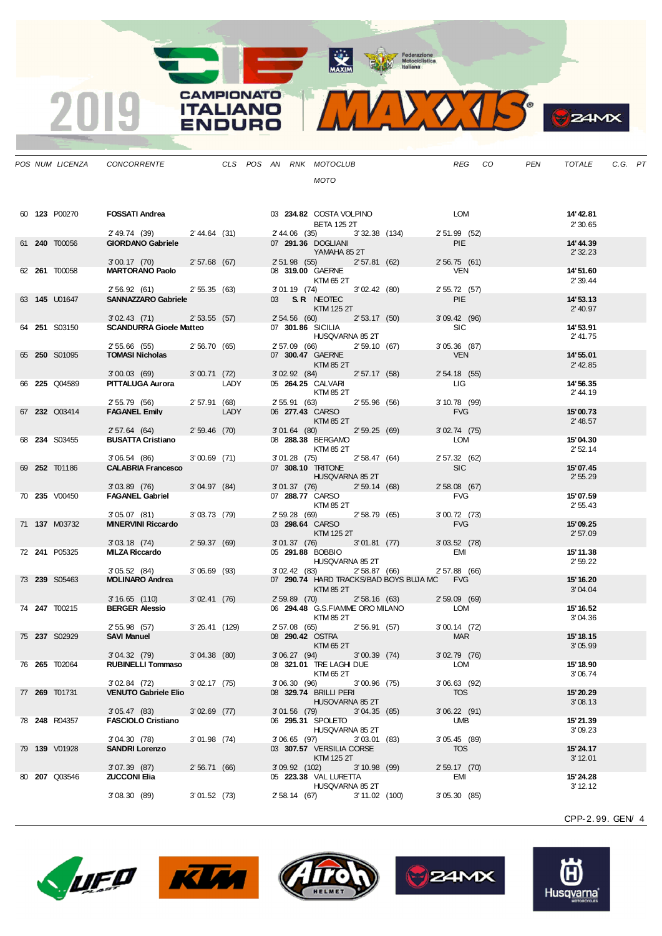MAXIM Rederazione

**CAMPIONATO** 

**ITALIANO** 

**ENDURO** 

2019

VOTS.  $\mathbf{V}$ 

|  | POS NUM LICENZA      | CONCORRENTE                                         |                 |      |                 | CLS POS AN RNK MOTOCLUB                            |                  |                                                                  | REG CO                       | PEN | TOTALE                 | C.G. PT |  |
|--|----------------------|-----------------------------------------------------|-----------------|------|-----------------|----------------------------------------------------|------------------|------------------------------------------------------------------|------------------------------|-----|------------------------|---------|--|
|  |                      |                                                     |                 |      |                 | MOTO                                               |                  |                                                                  |                              |     |                        |         |  |
|  |                      |                                                     |                 |      |                 |                                                    |                  |                                                                  |                              |     |                        |         |  |
|  |                      |                                                     |                 |      |                 |                                                    |                  |                                                                  |                              |     |                        |         |  |
|  | 60 123 P00270        | <b>FOSSATI Andrea</b>                               |                 |      |                 | 03 234.82 COSTA VOLPINO                            |                  |                                                                  | LOM                          |     | 14' 42.81              |         |  |
|  |                      | 2'49.74 (39) 2'44.64 (31)                           |                 |      |                 | <b>BETA 125 2T</b><br>2' 44.06 (35) 3' 32.38 (134) |                  |                                                                  | 2' 51.99 (52)                |     | 2' 30.65               |         |  |
|  | 61 240 T00056        | <b>GIORDANO Gabriele</b>                            |                 |      |                 | 07 291.36 DOGLIANI                                 |                  |                                                                  | <b>PIE</b>                   |     | 14' 44.39              |         |  |
|  |                      |                                                     |                 |      |                 | YAMAHA 85 2T                                       |                  |                                                                  |                              |     | 2' 32.23               |         |  |
|  | 62 261 T00058        | 3'00.17 (70) 2'57.68 (67)<br><b>MARTORANO Paolo</b> |                 |      |                 | 2'51.98 (55) 2'57.81 (62)<br>08 319.00 GAERNE      |                  |                                                                  | 2'56.75(61)<br><b>VEN</b>    |     | 14'51.60               |         |  |
|  |                      |                                                     |                 |      |                 | KTM 65 2T                                          |                  |                                                                  |                              |     | 2' 39.44               |         |  |
|  |                      | 2' 56.92 (61) 2' 55.35 (63)                         |                 |      |                 | 3'01.19 (74) 3'02.42 (80)                          |                  |                                                                  | 2' 55.72 (57)                |     |                        |         |  |
|  | 63 145 U01647        | SANNAZZARO Gabriele                                 |                 |      |                 | 03 S.R. NEOTEC<br>KTM 125 2T                       |                  |                                                                  | PIE                          |     | 14'53.13<br>$2'$ 40.97 |         |  |
|  |                      | 3'02.43 (71) 2'53.55 (57)                           |                 |      |                 | 2' 54.56 (60) 2' 53.17 (50)                        |                  |                                                                  | $3'09.42$ (96)               |     |                        |         |  |
|  | 64 251 S03150        | <b>SCANDURRA Gioele Matteo</b>                      |                 |      |                 | 07 301.86 SICILIA                                  |                  |                                                                  | SIC                          |     | 14'53.91               |         |  |
|  |                      | 2' 55.66 (55)                                       | 2'56.70(65)     |      |                 | HUSQVARNA 85 2T<br>2' 57.09 (66) 2' 59.10 (67)     |                  |                                                                  | $3'05.36$ (87)               |     | 2' 41.75               |         |  |
|  | 65 250 S01095        | <b>TOMASI Nicholas</b>                              |                 |      |                 | 07 300.47 GAERNE                                   |                  |                                                                  | <b>VEN</b>                   |     | 14' 55.01              |         |  |
|  |                      |                                                     |                 |      |                 | KTM 85 2T                                          |                  |                                                                  |                              |     | $2'$ 42.85             |         |  |
|  | 66 225 Q04589        | 3'00.03 (69) 3'00.71 (72)<br>PITTALUGA Aurora       |                 | LADY |                 | 3'02.92 (84) 2'57.17 (58)<br>05 264.25 CALVARI     |                  |                                                                  | $2'54.18$ (55)<br>LIG LIG    |     | 14' 56.35              |         |  |
|  |                      |                                                     |                 |      |                 | KTM 85 2T                                          |                  |                                                                  |                              |     | 2'44.19                |         |  |
|  |                      | 2' 55.79 (56)<br><b>FAGANEL Emily</b>               | 2'57.91 (68)    |      |                 | 2' 55.91 (63) 2' 55.96 (56)                        |                  |                                                                  | 3' 10.78 (99)                |     |                        |         |  |
|  | 67 232 Q03414        |                                                     |                 | LADY |                 | 06 277.43 CARSO<br>KTM 85 2T                       |                  |                                                                  | <b>FVG</b>                   |     | 15'00.73<br>2' 48.57   |         |  |
|  |                      | 2' 57.64 (64) 2' 59.46 (70)                         |                 |      |                 | 3'01.64 (80) 2'59.25 (69)                          |                  |                                                                  | $3'02.74$ (75)               |     |                        |         |  |
|  | 68 234 S03455        | <b>BUSATTA Cristiano</b>                            |                 |      |                 | 08 288.38 BERGAMO                                  |                  |                                                                  | LOM                          |     | 15'04.30               |         |  |
|  |                      | 3'06.54 (86)                                        | $3'00.69$ (71)  |      |                 | KTM 85 2T<br>3'01.28 (75) 2'58.47 (64)             |                  |                                                                  | 2' 57.32 (62)                |     | 2'52.14                |         |  |
|  | 69 252 T01186        | <b>CALABRIA Francesco</b>                           |                 |      |                 | 07 308.10 TRITONE                                  |                  |                                                                  | SIC                          |     | 15'07.45               |         |  |
|  |                      |                                                     |                 |      |                 | HUSQVARNA 85 2T                                    |                  |                                                                  |                              |     | 2'55.29                |         |  |
|  | 70 235 V00450        | $3'03.89$ (76)<br><b>FAGANEL Gabriel</b>            | 3'04.97(84)     |      |                 | 3'01.37(76)<br>07 288.77 CARSO                     | 2'59.14(68)      |                                                                  | $2'58.08$ (67)<br><b>FVG</b> |     | 15'07.59               |         |  |
|  |                      |                                                     |                 |      |                 | KTM 85 2T                                          |                  |                                                                  |                              |     | 2'55.43                |         |  |
|  |                      | 3'05.07(81)                                         | 3'03.73(79)     |      |                 | 2' 59.28 (69) 2' 58.79 (65)                        |                  |                                                                  | 3'00.72(73)                  |     |                        |         |  |
|  | 71 137 M03732        | <b>MINERVINI Riccardo</b>                           |                 |      |                 | 03 298.64 CARSO<br>KTM 125 2T                      |                  |                                                                  | <b>FVG</b>                   |     | 15'09.25<br>2'57.09    |         |  |
|  |                      | 3'03.18(74)                                         | 2'59.37(69)     |      | $3'01.37$ (76)  |                                                    | 3'01.81(77)      |                                                                  | 3'03.52(78)                  |     |                        |         |  |
|  | 72 241 P05325        | MILZA Riccardo                                      |                 |      |                 | 05 291.88 BOBBIO                                   |                  |                                                                  | EMI                          |     | 15'11.38               |         |  |
|  |                      | 3'05.52(84)                                         | 3'06.69(93)     |      |                 | HUSQVARNA 85 2T<br>3'02.42(83)                     | 2'58.87 (66)     |                                                                  | 2' 57.88 (66)                |     | 2'59.22                |         |  |
|  | 73 239 S05463        | <b>MOLINARO Andrea</b>                              |                 |      |                 |                                                    |                  | 07 290.74 HARD TRACKS/BAD BOYS BUJA MC FVG                       |                              |     | 15' 16.20              |         |  |
|  |                      |                                                     |                 |      |                 | KTM 85 2T                                          |                  |                                                                  |                              |     | 3'04.04                |         |  |
|  | 74 247 T00215        | 3' 16.65 (110)<br><b>BERGER Alessio</b>             | 3'02.41(76)     |      |                 |                                                    |                  | 2'59.89 (70) 2'58.16 (63)<br>06 294.48 G.S.FIAMME ORO MILANO LOM | 2' 59.09 (69)                |     | 15' 16.52              |         |  |
|  |                      |                                                     |                 |      |                 | KTM 85 2T                                          |                  |                                                                  |                              |     | 3'04.36                |         |  |
|  |                      | 2' 55.98 (57)                                       | $3'26.41$ (129) |      |                 | 2'57.08 (65) 2'56.91 (57)                          |                  |                                                                  | $3'00.14$ (72)               |     |                        |         |  |
|  | 75 237 S02929        | <b>SAVI Manuel</b>                                  |                 |      |                 | 08 290.42 OSTRA<br>KTM 65 2T                       |                  |                                                                  | <b>MAR</b>                   |     | 15' 18.15<br>3'05.99   |         |  |
|  |                      | 3'04.32(79)                                         | 3'04.38(80)     |      |                 | 3'06.27(94)                                        | 3'00.39(74)      |                                                                  | $3'02.79$ (76)               |     |                        |         |  |
|  | 76 <b>265</b> T02064 | <b>RUBINELLI Tommaso</b>                            |                 |      |                 | 08 321.01 TRE LAGHI DUE                            |                  |                                                                  | LOM                          |     | 15' 18.90              |         |  |
|  |                      | $3'02.84$ (72)                                      | 3'02.17(75)     |      | 3'06.30 (96)    | KTM 65 2T                                          | $3'00.96$ (75)   |                                                                  | $3'06.63$ (92)               |     | 3'06.74                |         |  |
|  | 77 269 T01731        | <b>VENUTO Gabriele Elio</b>                         |                 |      |                 | 08 329.74 BRILLI PERI                              |                  |                                                                  | <b>TOS</b>                   |     | 15' 20.29              |         |  |
|  |                      |                                                     |                 |      |                 | HUSQVARNA 85 2T                                    |                  |                                                                  |                              |     | 3'08.13                |         |  |
|  | 78 248 R04357        | 3'05.47(83)<br><b>FASCIOLO Cristiano</b>            | $3'02.69$ (77)  |      | $3'01.56$ (79)  | 06 295.31 SPOLETO                                  | 3'04.35(85)      |                                                                  | $3'06.22$ (91)<br>UMB        |     | 15'21.39               |         |  |
|  |                      |                                                     |                 |      |                 | HUSQVARNA 85 2T                                    |                  |                                                                  |                              |     | 3'09.23                |         |  |
|  |                      | 3'04.30(78)                                         | $3'01.98$ (74)  |      | $3'06.65$ (97)  |                                                    | 3'03.01(83)      |                                                                  | 3'05.45(89)                  |     |                        |         |  |
|  | 79 139 V01928        | <b>SANDRI Lorenzo</b>                               |                 |      |                 | 03 307.57 VERSILIA CORSE<br>KTM 125 2T             |                  |                                                                  | <b>TOS</b>                   |     | 15' 24.17<br>3' 12.01  |         |  |
|  |                      | $3'07.39$ (87)                                      | 2'56.71(66)     |      | $3'09.92$ (102) |                                                    | 3'10.98(99)      |                                                                  | 2' 59.17 (70)                |     |                        |         |  |
|  | 80 <b>207</b> Q03546 | <b>ZUCCONI Elia</b>                                 |                 |      |                 | 05 223.38 VAL LURETTA                              |                  |                                                                  | EMI                          |     | 15' 24.28              |         |  |
|  |                      | 3'08.30(89)                                         | 3'01.52(73)     |      | 2' 58.14 (67)   | HUSQVARNA 85 2T                                    | $3' 11.02$ (100) |                                                                  | 3'05.30(85)                  |     | 3' 12.12               |         |  |
|  |                      |                                                     |                 |      |                 |                                                    |                  |                                                                  |                              |     |                        |         |  |
|  |                      |                                                     |                 |      |                 |                                                    |                  |                                                                  |                              |     |                        |         |  |











CPP-2. 99. GEN/ 4

**S**ZAMX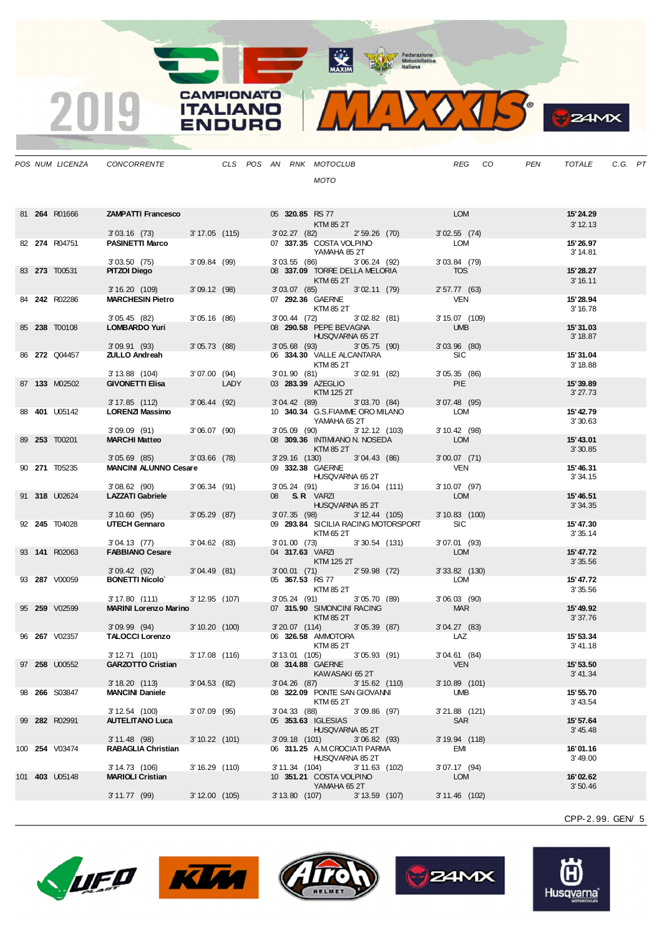MAXIM BOOR Motociclistica

VOJS.  $\mathbf{V}$ 

**B**z<sub>4MX</sub>

|  |                      | POS NUM LICENZA CONCORRENTE                            |                |      |  |                 | CLS POS AN RNK MOTOCLUB                                           |                 | REG                          | CO | PEN | TOTALE                | C.G. PT |  |
|--|----------------------|--------------------------------------------------------|----------------|------|--|-----------------|-------------------------------------------------------------------|-----------------|------------------------------|----|-----|-----------------------|---------|--|
|  |                      |                                                        |                |      |  |                 | <b>MOTO</b>                                                       |                 |                              |    |     |                       |         |  |
|  |                      |                                                        |                |      |  |                 |                                                                   |                 |                              |    |     |                       |         |  |
|  | 81 264 R01666        | <b>ZAMPATTI Francesco</b>                              |                |      |  |                 | 05 320.85 RS 77                                                   |                 | <b>LOM</b>                   |    |     | 15'24.29              |         |  |
|  |                      |                                                        |                |      |  |                 | KTM 85 2T                                                         |                 |                              |    |     | 3' 12.13              |         |  |
|  |                      | $3'03.16$ (73)                                         | 3' 17.05 (115) |      |  |                 | 3'02.27(82)                                                       | $2'59.26$ (70)  | $3'02.55$ (74)               |    |     |                       |         |  |
|  | 82 274 R04751        | <b>PASINETTI Marco</b>                                 |                |      |  |                 | 07 337.35 COSTA VOLPINO<br>YAMAHA 85 2T                           |                 | LOM                          |    |     | 15'26.97<br>3' 14.81  |         |  |
|  |                      | 3'03.50(75)                                            | 3'09.84(99)    |      |  |                 | 3'03.55(86)                                                       | 3'06.24(92)     | 3'03.84 (79)                 |    |     |                       |         |  |
|  | 83 273 T00531        | <b>PITZOI Diego</b>                                    |                |      |  |                 | 08 337.09 TORRE DELLA MELORIA<br>KTM 65 2T                        |                 | <b>TOS</b>                   |    |     | 15'28.27<br>3' 16.11  |         |  |
|  |                      | 3'16.20(109)                                           | 3'09.12(98)    |      |  |                 | 3'03.07 (85) 3'02.11 (79)                                         |                 | 2' 57.77 (63)                |    |     |                       |         |  |
|  | 84 242 R02286        | <b>MARCHESIN Pietro</b>                                |                |      |  |                 | 07 292.36 GAERNE                                                  |                 | <b>VEN</b>                   |    |     | 15'28.94              |         |  |
|  |                      | 3'05.45(82)                                            | 3'05.16(86)    |      |  |                 | KTM 85 2T<br>3'00.44 (72) 3'02.82 (81)                            |                 | 3' 15.07 (109)               |    |     | 3' 16.78              |         |  |
|  | 85 238 T00108        | <b>LOMBARDO Yuri</b>                                   |                |      |  |                 | 08 290.58 PEPE BEVAGNA                                            |                 | <b>UMB</b>                   |    |     | 15'31.03              |         |  |
|  |                      | 3'09.91(93)                                            | 3'05.73(88)    |      |  |                 | HUSQVARNA 65 2T<br>3'05.68 (93) 3'05.75 (90)                      |                 | $3'03.96$ (80)               |    |     | 3' 18.87              |         |  |
|  | 86 272 Q04457        | <b>ZULLO Andreah</b>                                   |                |      |  |                 | 06 334.30 VALLE ALCANTARA                                         |                 | <b>SIC</b>                   |    |     | 15'31.04              |         |  |
|  |                      | 3' 13.88 (104)                                         | 3'07.00(94)    |      |  |                 | KTM 85 2T<br>3'01.90 (81) 3'02.91 (82)                            |                 | 3'05.35(86)                  |    |     | 3' 18.88              |         |  |
|  | 87 133 M02502        | <b>GIVONETTI Elisa</b>                                 |                | LADY |  |                 | 03 283.39 AZEGLIO                                                 |                 | <b>PIE</b>                   |    |     | 15' 39.89             |         |  |
|  |                      |                                                        |                |      |  |                 | KTM 125 2T                                                        |                 |                              |    |     | 3'27.73               |         |  |
|  | 88 <b>401</b> U05142 | 3' 17.85 (112) 3' 06.44 (92)<br><b>LORENZI Massimo</b> |                |      |  |                 | 3'04.42 (89) 3'03.70 (84)<br>10 340.34 G.S.FIAMME ORO MILANO      |                 | $3'07.48$ (95)<br>LOM        |    |     | 15' 42.79             |         |  |
|  |                      |                                                        |                |      |  |                 | YAMAHA 65 2T                                                      |                 |                              |    |     | 3'30.63               |         |  |
|  | 89 253 T00201        | $3'09.09$ (91)<br><b>MARCHI Matteo</b>                 | 3'06.07(90)    |      |  |                 | $3'05.09$ (90)<br>08 309.36 INTIMIANO N. NOSEDA                   | 3' 12.12 (103)  | 3' 10.42 (98)<br>LOM         |    |     | 15' 43.01             |         |  |
|  |                      |                                                        |                |      |  |                 | KTM 85 2T                                                         |                 |                              |    |     | 3'30.85               |         |  |
|  | 90 271 T05235        | $3'05.69$ $(85)$<br><b>MANCINI ALUNNO Cesare</b>       | $3'03.66$ (78) |      |  | $3'29.16$ (130) | 09 332.38 GAERNE                                                  | 3'04.43 (86)    | $3'00.07$ (71)<br>VEN        |    |     | 15' 46.31             |         |  |
|  |                      |                                                        |                |      |  |                 | HUSQVARNA 65 2T                                                   |                 |                              |    |     | 3'34.15               |         |  |
|  | 91 318 U02624        | $3'08.62$ (90)<br><b>LAZZATI Gabriele</b>              | 3'06.34(91)    |      |  |                 | 3'05.24(91)<br>08 S.R. VARZI                                      | $3'16.04$ (111) | $3'10.07$ (97)<br>LOM        |    |     | 15' 46.51             |         |  |
|  |                      |                                                        |                |      |  |                 | HUSQVARNA 85 2T                                                   |                 |                              |    |     | 3' 34.35              |         |  |
|  |                      | 3' 10.60 (95) 3' 05.29 (87)                            |                |      |  |                 | 3'07.35 (98) 3'12.44 (105)<br>09 293.84 SICILIA RACING MOTORSPORT |                 | $3'10.83$ (100)              |    |     |                       |         |  |
|  | 92 245 T04028        | <b>UTECH Gennaro</b>                                   |                |      |  |                 | KTM 65 2T                                                         |                 | <b>SIC</b>                   |    |     | 15' 47.30<br>3'35.14  |         |  |
|  |                      | 3'04.13(77)                                            | 3'04.62(83)    |      |  |                 | 3'01.00 (73) 3'30.54 (131)                                        |                 | $3'07.01$ (93)<br><b>LOM</b> |    |     |                       |         |  |
|  | 93 141 R02063        | <b>FABBIANO Cesare</b>                                 |                |      |  |                 | 04 317.63 VARZI<br>KTM 125 2T                                     |                 |                              |    |     | 15' 47.72<br>3'35.56  |         |  |
|  |                      | 3'09.42(92)                                            | 3'04.49(81)    |      |  |                 | 3'00.01 (71) 2'59.98 (72)                                         |                 | $3'33.82$ (130)              |    |     |                       |         |  |
|  | 93 287 V00059        | <b>BONETTI Nicolo</b>                                  |                |      |  |                 | 05 367.53 RS 77<br>KTM 85 2T                                      |                 | LOM                          |    |     | 15' 47.72<br>3' 35.56 |         |  |
|  |                      | 3' 17.80 (111)                                         | 3' 12.95 (107) |      |  |                 | 3'05.24 (91) 3'05.70 (89)                                         |                 | $3'06.03$ (90)               |    |     |                       |         |  |
|  | 95 259 V02599        | <b>MARINI Lorenzo Marino</b>                           |                |      |  |                 | 07 315.90 SIMONCINI RACING<br>KTM 85 2T                           |                 | <b>MAR</b>                   |    |     | 15' 49.92<br>3'37.76  |         |  |
|  |                      | $3'09.99$ (94)                                         | 3'10.20(100)   |      |  |                 | 3' 20.07 (114)                                                    | 3'05.39(87)     | $3'04.27$ (83)               |    |     |                       |         |  |
|  | 96 267 V02357        | <b>TALOCCI Lorenzo</b>                                 |                |      |  |                 | 06 326.58 AMMOTORA<br>KTM 85 2T                                   |                 | LAZ                          |    |     | 15' 53.34<br>3' 41.18 |         |  |
|  |                      | 3' 12.71 (101)                                         | 3' 17.08 (116) |      |  |                 | 3'13.01 (105) 3'05.93 (91)                                        |                 | 3'04.61 (84)                 |    |     |                       |         |  |
|  | 97 258 U00552        | <b>GARZOTTO Cristian</b>                               |                |      |  |                 | 08 314.88 GAERNE<br>KAWASAKI 65 2T                                |                 | <b>VEN</b>                   |    |     | 15' 53.50<br>3' 41.34 |         |  |
|  |                      | 3' 18.20 (113)                                         | 3'04.53(82)    |      |  | $3'04.26$ (87)  |                                                                   | $3'15.62$ (110) | $3'10.89$ (101)              |    |     |                       |         |  |
|  | 98 266 S03847        | <b>MANCINI Daniele</b>                                 |                |      |  |                 | 08 322.09 PONTE SAN GIOVANNI<br>KTM 65 2T                         |                 | UMB                          |    |     | 15' 55.70<br>3' 43.54 |         |  |
|  |                      | $3'12.54$ (100)                                        | $3'07.09$ (95) |      |  | 3'04.33(88)     |                                                                   | $3'09.86$ (97)  | 3'21.88 (121)                |    |     |                       |         |  |
|  | 99 282 R02991        | <b>AUTELITANO Luca</b>                                 |                |      |  |                 | 05 353.63 IGLESIAS                                                |                 | SAR                          |    |     | 15' 57.64             |         |  |
|  |                      | $3'11.48$ (98)                                         | 3' 10.22 (101) |      |  | $3'09.18$ (101) | HUSQVARNA 85 2T                                                   | 3'06.82(93)     | 3' 19.94 (118)               |    |     | 3' 45.48              |         |  |
|  | 100 254 V03474       | <b>RABAGLIA Christian</b>                              |                |      |  |                 | 06 311.25 A.M.CROCIATI PARMA                                      |                 | EMI                          |    |     | 16'01.16              |         |  |
|  |                      | 3' 14.73 (106)                                         | 3' 16.29 (110) |      |  | 3' 11.34 (104)  | HUSQVARNA 85 2T                                                   | 3'11.63 (102)   | 3'07.17 (94)                 |    |     | 3'49.00               |         |  |
|  | 101 403 U05148       | <b>MARIOLI Cristian</b>                                |                |      |  |                 | 10 351.21 COSTA VOLPINO                                           |                 | <b>LOM</b>                   |    |     | 16'02.62              |         |  |
|  |                      | 3'11.77(99)                                            | 3' 12.00 (105) |      |  | 3'13.80(107)    | YAMAHA 65 2T                                                      | $3'13.59$ (107) | $3'11.46$ (102)              |    |     | 3'50.46               |         |  |
|  |                      |                                                        |                |      |  |                 |                                                                   |                 |                              |    |     |                       |         |  |

**CAMPIONATO** 

**ITALIANO** 

**ENDURO** 

2019











Husqvarna®

CPP-2. 99. GEN/ 5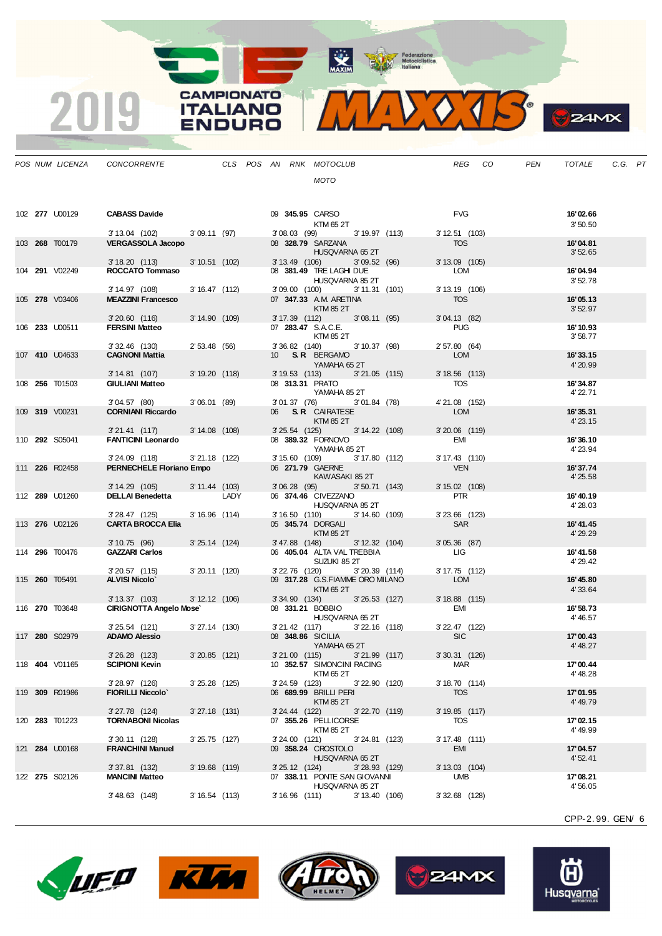MAXIM Rederazione

VOTS.  $\mathbf{V}$ 

**CAMPIONATO** 

**ITALIANO** 

**ENDURO** 

2019

|  | POS NUM LICENZA       | CONCORRENTE                                               |                  | CLS POS AN RNK MOTOCLUB |                  |                                                          | REG CO                        | PEN | TOTALE               | C.G. PT |  |
|--|-----------------------|-----------------------------------------------------------|------------------|-------------------------|------------------|----------------------------------------------------------|-------------------------------|-----|----------------------|---------|--|
|  |                       |                                                           |                  |                         |                  | <b>MOTO</b>                                              |                               |     |                      |         |  |
|  |                       |                                                           |                  |                         |                  |                                                          |                               |     |                      |         |  |
|  |                       |                                                           |                  |                         |                  |                                                          |                               |     |                      |         |  |
|  | 102 277 U00129        | <b>CABASS Davide</b>                                      |                  |                         |                  | 09 345.95 CARSO<br>KTM 65 2T                             | <b>FVG</b>                    |     | 16'02.66<br>3'50.50  |         |  |
|  |                       | 3' 13.04 (102) 3' 09.11 (97)                              |                  |                         |                  | 3'08.03 (99) 3'19.97 (113)                               | $3'12.51$ (103)               |     |                      |         |  |
|  | 103 268 T00179        | <b>VERGASSOLA Jacopo</b>                                  |                  |                         |                  | 08 328.79 SARZANA                                        | TOS                           |     | 16'04.81             |         |  |
|  |                       | 3'18.20(113)                                              | 3'10.51(102)     |                         |                  | HUSQVARNA 65 2T<br>3' 13.49 (106)<br>3'09.52(96)         | $3'13.09$ (105)               |     | 3'52.65              |         |  |
|  | 104 291 V02249        | ROCCATO Tommaso                                           |                  |                         |                  | 08 381.49 TRE LAGHI DUE                                  | LOM                           |     | 16'04.94             |         |  |
|  |                       |                                                           |                  |                         |                  | HUSQVARNA 85 2T                                          |                               |     | 3'52.78              |         |  |
|  | 105 278 V03406        | 3' 14.97 (108)<br><b>MEAZZINI Francesco</b>               | 3'16.47(112)     |                         |                  | 3'09.00(100)<br>3' 11.31 (101)<br>07 347.33 A.M. ARETINA | $3'13.19$ (106)<br><b>TOS</b> |     | 16'05.13             |         |  |
|  |                       |                                                           |                  |                         |                  | KTM 85 2T                                                |                               |     | 3'52.97              |         |  |
|  |                       | $3'20.60$ (116)                                           | 3' 14.90 (109)   |                         |                  | 3' 17.39 (112) 3' 08.11 (95)                             | 3'04.13(82)                   |     |                      |         |  |
|  | 106 233 U00511        | <b>FERSINI Matteo</b>                                     |                  |                         |                  | 07 283.47 S.A.C.E.<br>KTM 85 2T                          | PUG                           |     | 16' 10.93<br>3'58.77 |         |  |
|  |                       | $3'32.46$ (130)                                           | 2'53.48(56)      |                         |                  | 3' 36.82 (140) 3' 10.37 (98)                             | 2' 57.80 (64)                 |     |                      |         |  |
|  | 107 410 U04633        | <b>CAGNONI Mattia</b>                                     |                  |                         |                  | 10 S.R. BERGAMO                                          | LOM                           |     | 16'33.15             |         |  |
|  |                       | 3' 14.81 (107)                                            | 3'19.20(118)     |                         |                  | YAMAHA 65 2T<br>3' 19.53 (113) 3' 21.05 (115)            | $3'18.56$ (113)               |     | 4' 20.99             |         |  |
|  | 108 256 T01503        | <b>GIULIANI Matteo</b>                                    |                  |                         |                  | 08 313.31 PRATO                                          | TOS                           |     | 16'34.87             |         |  |
|  |                       |                                                           |                  |                         |                  | YAMAHA 85 2T                                             |                               |     | 4' 22.71             |         |  |
|  | 109 319 V00231        | 3'04.57(80)<br><b>CORNIANI Riccardo</b>                   | 3'06.01(89)      |                         |                  | 3'01.37 (76) 3'01.84 (78)<br>06 S.R. CAIRATESE           | 4'21.08 (152)<br>LOM          |     | 16'35.31             |         |  |
|  |                       |                                                           |                  |                         |                  | KTM 85 2T                                                |                               |     | 4' 23.15             |         |  |
|  |                       | 3'21.41 (117) 3'14.08 (108)                               |                  |                         |                  | 3' 25.54 (125) 3' 14.22 (108)                            | $3'20.06$ (119)               |     |                      |         |  |
|  | 110 292 S05041        | <b>FANTICINI Leonardo</b>                                 |                  |                         |                  | 08 389.32 FORNOVO<br>YAMAHA 85 2T                        | EMI                           |     | 16'36.10<br>4' 23.94 |         |  |
|  |                       | 3'24.09 (118) 3'21.18 (122)                               |                  |                         |                  | 3' 15.60 (109) 3' 17.80 (112)                            | $3'17.43$ (110)               |     |                      |         |  |
|  | 111 226 R02458        | PERNECHELE Floriano Empo                                  |                  |                         |                  | 06 271.79 GAERNE                                         | <b>VEN</b>                    |     | 16'37.74             |         |  |
|  |                       | 3' 14.29 (105)                                            | 3' 11.44 (103)   |                         |                  | KAWASAKI 85 2T<br>3'06.28(95)<br>$3'50.71$ (143)         | $3'15.02$ (108)               |     | 4' 25.58             |         |  |
|  | 112 289 U01260        | DELLAI Benedetta LADY                                     |                  |                         |                  | 06 374.46 CIVEZZANO                                      | PTR                           |     | 16'40.19             |         |  |
|  |                       |                                                           |                  |                         |                  | HUSQVARNA 85 2T                                          |                               |     | 4'28.03              |         |  |
|  | 113 276 U02126        | 3' 28.47 (125) 3' 16.96 (114)<br><b>CARTA BROCCA Elia</b> |                  |                         |                  | 3' 16.50 (110) 3' 14.60 (109)<br>05 345.74 DORGALI       | $3'23.66$ (123)<br>SAR        |     | 16'41.45             |         |  |
|  |                       |                                                           |                  |                         |                  | KTM 85 2T                                                |                               |     | 4' 29.29             |         |  |
|  |                       | 3'10.75(96)                                               | $3'25.14$ (124)  |                         | $3' 47.88$ (148) | 3' 12.32 (104)                                           | 3'05.36(87)                   |     |                      |         |  |
|  | 114 296 T00476        | <b>GAZZARI Carlos</b>                                     |                  |                         |                  | 06 405.04 ALTA VAL TREBBIA<br>SUZUKI 85 2T               | <b>LIG</b>                    |     | 16'41.58<br>4' 29.42 |         |  |
|  |                       | $3'20.57$ (115)                                           | $3'20.11$ (120)  |                         |                  | 3'22.76 (120)<br>3'20.39 (114)                           | $3'17.75$ (112)               |     |                      |         |  |
|  | 115 <b>260</b> T05491 | <b>ALVISI Nicolo</b>                                      |                  |                         |                  | 09 317.28 G.S.FIAMME ORO MILANO                          | <b>LOM</b>                    |     | 16' 45.80            |         |  |
|  |                       | $3' 13.37$ (103)                                          | $3' 12.12$ (106) |                         |                  | KTM 65 2T<br>3' 34.90 (134) 3' 26.53 (127)               | $3'18.88$ (115)               |     | 4'33.64              |         |  |
|  | 116 270 T03648        | <b>CIRIGNOTTA Angelo Mose</b>                             |                  |                         |                  | 08 331.21 BOBBIO                                         | EMI                           |     | 16' 58.73            |         |  |
|  |                       |                                                           |                  |                         |                  | HUSQVARNA 65 2T                                          |                               |     | 4' 46.57             |         |  |
|  | 117 280 S02979        | $3'25.54$ (121)<br><b>ADAMO Alessio</b>                   | 3'27.14 (130)    |                         |                  | 3'21.42 (117) 3'22.16 (118)<br>08 348.86 SICILIA         | 3' 22.47 (122)<br><b>SIC</b>  |     | 17'00.43             |         |  |
|  |                       |                                                           |                  |                         |                  | YAMAHA 65 2T                                             |                               |     | 4' 48.27             |         |  |
|  |                       | $3'26.28$ (123)                                           | $3'20.85$ (121)  |                         | $3'21.00$ (115)  | $3'21.99$ (117)                                          | $3'30.31$ (126)               |     |                      |         |  |
|  | 118 <b>404</b> V01165 | <b>SCIPIONI Kevin</b>                                     |                  |                         |                  | 10 352.57 SIMONCINI RACING<br>KTM 65 2T                  | <b>MAR</b>                    |     | 17'00.44<br>4' 48.28 |         |  |
|  |                       | 3'28.97 (126)                                             | 3'25.28 (125)    |                         | $3'24.59$ (123)  | 3'22.90 (120)                                            | 3' 18.70 (114)                |     |                      |         |  |
|  | 119 309 R01986        | <b>FIORILLI Niccolo'</b>                                  |                  |                         |                  | 06 689.99 BRILLI PERI                                    | <b>TOS</b>                    |     | 17'01.95             |         |  |
|  |                       | $3'27.78$ (124)                                           | $3'27.18$ (131)  |                         | $3'24.44$ (122)  | <b>KTM 85 2T</b><br>3'22.70(119)                         | $3'19.85$ (117)               |     | 4' 49.79             |         |  |
|  | 120 283 T01223        | <b>TORNABONI Nicolas</b>                                  |                  |                         |                  | 07 355.26 PELLICORSE                                     | TOS                           |     | 17'02.15             |         |  |
|  |                       |                                                           |                  |                         |                  | KTM 85 2T                                                |                               |     | 4' 49.99             |         |  |
|  | 121 <b>284 U00168</b> | 3' 30.11 (128)<br><b>FRANCHINI Manuel</b>                 | $3'25.75$ (127)  |                         | $3'24.00$ (121)  | $3'24.81$ (123)<br>09 358.24 CROSTOLO                    | $3'17.48$ (111)<br>EMI        |     | 17'04.57             |         |  |
|  |                       |                                                           |                  |                         |                  | HUSQVARNA 65 2T                                          |                               |     | 4' 52.41             |         |  |
|  |                       | 3'37.81 (132)                                             | $3'19.68$ (119)  |                         | $3'25.12$ (124)  | $3'28.93$ (129)                                          | 3' 13.03 (104)                |     |                      |         |  |
|  | 122 <b>275</b> S02126 | <b>MANCINI Matteo</b>                                     |                  |                         |                  | 07 338.11 PONTE SAN GIOVANNI<br>HUSQVARNA 85 2T          | <b>UMB</b>                    |     | 17'08.21<br>4'56.05  |         |  |
|  |                       | $3'48.63$ (148)                                           | 3'16.54(113)     |                         | $3'16.96$ (111)  | 3' 13.40 (106)                                           | $3'32.68$ (128)               |     |                      |         |  |

CPP-2. 99. GEN/ 6

**S**ZAMX









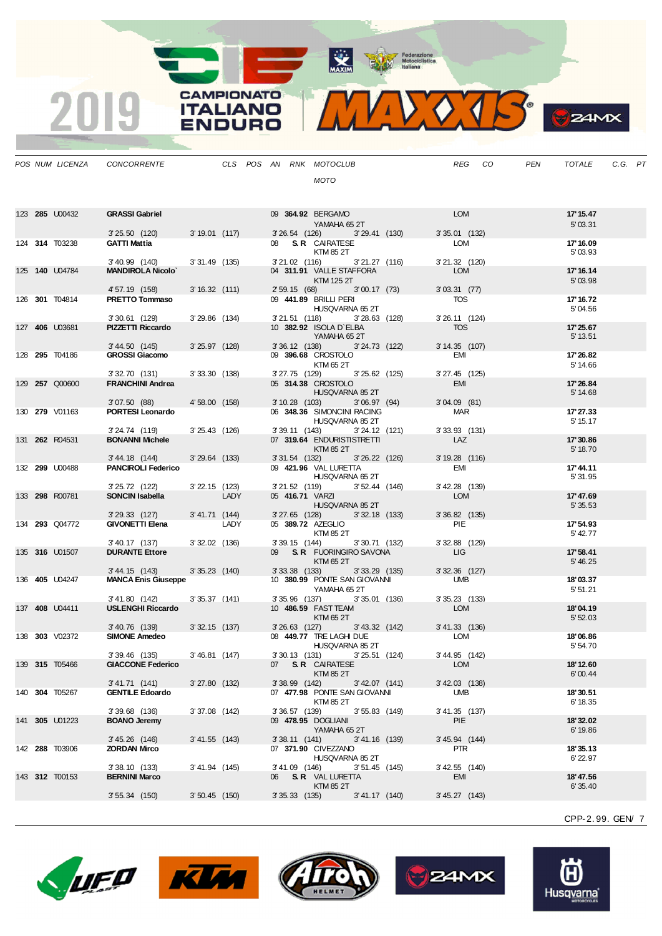Maxim Metociclistica

**CAMPIONATO** 

**ITALIANO** 

**ENDURO** 

 $\overline{2}$ 

|  | POS NUM LICENZA       | CONCORRENTE                                  |                  |      |  |                 | CLS POS AN RNK MOTOCLUB                                               |                  |                       | <b>REG</b> | CO | <b>PEN</b> | <b>TOTALE</b>         | C.G. PT |  |
|--|-----------------------|----------------------------------------------|------------------|------|--|-----------------|-----------------------------------------------------------------------|------------------|-----------------------|------------|----|------------|-----------------------|---------|--|
|  |                       |                                              |                  |      |  |                 | <b>MOTO</b>                                                           |                  |                       |            |    |            |                       |         |  |
|  | 123 285 U00432        | <b>GRASSI Gabriel</b>                        |                  |      |  |                 | 09 364.92 BERGAMO                                                     |                  |                       | <b>LOM</b> |    |            | 17' 15.47             |         |  |
|  |                       | 3'25.50(120)                                 | $3'19.01$ (117)  |      |  |                 | YAMAHA 65 2T<br>3'26.54 (126) 3'29.41 (130)                           |                  | $3'35.01$ (132)       |            |    |            | 5'03.31               |         |  |
|  | 124 314 T03238        | <b>GATTI Mattia</b>                          |                  |      |  |                 | 08 S.R CAIRATESE<br>KTM 85 2T                                         |                  | LOM                   |            |    |            | 17' 16.09<br>5'03.93  |         |  |
|  |                       | 3'40.99 (140)                                | $3'31.49$ (135)  |      |  | 3'21.02 (116)   |                                                                       | 3'21.27(116)     | 3'21.32 (120)         |            |    |            |                       |         |  |
|  | 125 140 U04784        | <b>MANDIROLA Nicolo'</b><br>4' 57.19 (158)   | 3'16.32(111)     |      |  |                 | 04 311.91 VALLE STAFFORA<br>KTM 125 2T<br>2' 59.15 (68) 3' 00.17 (73) |                  | 3'03.31(77)           | <b>LOM</b> |    |            | 17' 16.14<br>5'03.98  |         |  |
|  | 126 301 T04814        | <b>PRETTO Tommaso</b>                        |                  |      |  |                 | 09 441.89 BRILLI PERI                                                 |                  |                       | TOS        |    |            | 17' 16.72             |         |  |
|  |                       |                                              |                  |      |  |                 | HUSQVARNA 65 2T                                                       |                  |                       |            |    |            | 5'04.56               |         |  |
|  | 127 406 U03681        | $3'30.61$ (129)<br>PIZZETTI Riccardo         | $3'29.86$ (134)  |      |  |                 | 3'21.51 (118) 3'28.63 (128)<br>10 382.92 ISOLA D'ELBA<br>YAMAHA 652T  |                  | 3' 26.11 (124)<br>TOS |            |    |            | 17'25.67<br>5' 13.51  |         |  |
|  |                       | 3' 44.50 (145)                               | $3'25.97$ (128)  |      |  |                 | 3' 36.12 (138) 3' 24.73 (122)                                         |                  | $3'14.35$ (107)       |            |    |            |                       |         |  |
|  | 128 <b>295</b> T04186 | <b>GROSSI Giacomo</b>                        |                  |      |  |                 | 09 396.68 CROSTOLO<br>KTM 65 2T                                       |                  |                       | EMI        |    |            | 17' 26.82<br>5' 14.66 |         |  |
|  | 129 257 Q00600        | 3'32.70 (131)<br><b>FRANCHINI Andrea</b>     | 3'33.30(138)     |      |  |                 | 3'27.75 (129)<br>05 314.38 CROSTOLO                                   | 3'25.62 (125)    | $3'27.45$ (125)       | EMI        |    |            | 17' 26.84             |         |  |
|  |                       |                                              |                  |      |  |                 | HUSQVARNA 85 2T                                                       |                  |                       |            |    |            | 5' 14.68              |         |  |
|  | 130 279 V01163        | 3'07.50 (88)<br>PORTESI Leonardo             | 4'58.00 (158)    |      |  |                 | 3' 10.28 (103)<br>06 348.36 SIMONCINI RACING                          | 3'06.97(94)      | $3'04.09$ (81)        | <b>MAR</b> |    |            | 17' 27.33             |         |  |
|  |                       |                                              |                  |      |  |                 | HUSQVARNA 85 2T                                                       |                  |                       |            |    |            | 5' 15.17              |         |  |
|  |                       | 3'24.74 (119)                                | 3'25.43 (126)    |      |  |                 | 3' 39.11 (143)                                                        | $3'24.12$ (121)  | $3'33.93$ (131)       |            |    |            |                       |         |  |
|  | 131 262 R04531        | <b>BONANNI Michele</b>                       |                  |      |  |                 | 07 319.64 ENDURISTISTRETTI<br>KTM 85 2T                               |                  |                       | LAZ        |    |            | 17' 30.86<br>5' 18.70 |         |  |
|  |                       | 3' 44.18 (144)                               | $3'29.64$ (133)  |      |  | 3'31.54(132)    |                                                                       | 3'26.22 (126)    | 3' 19.28 (116)        |            |    |            |                       |         |  |
|  | 132 299 U00488        | <b>PANCIROLI Federico</b>                    |                  |      |  |                 | 09 421.96 VAL LURETTA<br>HUSQVARNA 65 2T                              |                  | EMI                   |            |    |            | 17'44.11<br>5' 31.95  |         |  |
|  |                       | 3'25.72 (122)                                | $3'22.15$ (123)  |      |  |                 | $3'21.52$ (119)                                                       | $3'52.44$ (146)  | $3'$ 42.28 $(139)$    |            |    |            |                       |         |  |
|  | 133 298 R00781        | SONCIN Isabella                              |                  | LADY |  |                 | 05 416.71 VARZI<br>HUSQVARNA 85 2T                                    |                  |                       | LOM        |    |            | 17' 47.69<br>5' 35.53 |         |  |
|  |                       | 3'29.33 (127)                                | 3' 41.71 (144)   |      |  |                 | 3' 27.65 (128) 3' 32.18 (133)                                         |                  | $3'36.82$ (135)       |            |    |            |                       |         |  |
|  | 134 293 Q04772        | <b>GIVONETTI Elena</b>                       |                  | LADY |  |                 | 05 389.72 AZEGLIO<br>KTM 85 2T                                        |                  |                       | PIE        |    |            | 17' 54.93<br>5' 42.77 |         |  |
|  |                       | 3'40.17 (137)                                | $3'32.02$ (136)  |      |  |                 | 3'39.15 (144) 3'30.71 (132)                                           |                  | $3'32.88$ (129)       |            |    |            |                       |         |  |
|  | 135 <b>316</b> U01507 | <b>DURANTE Ettore</b>                        |                  |      |  |                 | 09 S.R. FUORINGIRO SAVONA<br>KTM 65 2T                                |                  | <b>LIG</b>            |            |    |            | 17' 58.41<br>5' 46.25 |         |  |
|  | 136 <b>405</b> U04247 | 3' 44.15 (143)<br><b>MANCA Enis Giuseppe</b> | $3'35.23$ (140)  |      |  |                 | 3' 33.38 (133) 3' 33.29 (135)<br>10 380.99 PONTE SAN GIOVANNI         |                  | $3'32.36$ (127)       | UMB        |    |            | 18'03.37              |         |  |
|  |                       |                                              |                  |      |  |                 | YAMAHA 652T                                                           |                  |                       |            |    |            | 5'51.21               |         |  |
|  | 137 408 U04411        | 3'41.80 (142)<br><b>USLENGHI Riccardo</b>    | 3'35.37(141)     |      |  |                 | 3'35.96 (137) 3'35.01 (136)<br>10 486.59 FAST TEAM                    |                  | 3'35.23(133)          | LOM        |    |            |                       |         |  |
|  |                       |                                              |                  |      |  |                 | KTM 65 2T                                                             |                  |                       |            |    |            | 18'04.19<br>5'52.03   |         |  |
|  |                       | 3'40.76 (139)                                | $3'32.15$ (137)  |      |  | $3'26.63$ (127) |                                                                       | 3' 43.32 (142)   | 3' 41.33 (136)        |            |    |            |                       |         |  |
|  | 138 303 V02372        | <b>SIMONE Amedeo</b>                         |                  |      |  |                 | 08 449.77 TRE LAGHI DUE<br>HUSQVARNA 85 2T                            |                  |                       | LOM        |    |            | 18'06.86<br>5' 54.70  |         |  |
|  |                       | 3'39.46 (135)                                | 3'46.81 (147)    |      |  |                 | 3'30.13 (131) 3'25.51 (124)                                           |                  | 3' 44.95 (142)        |            |    |            |                       |         |  |
|  | 139 <b>315</b> T05466 | <b>GIACCONE Federico</b>                     |                  |      |  |                 | 07 S.R. CAIRATESE<br>KTM 85 2T                                        |                  |                       | <b>LOM</b> |    |            | 18' 12.60<br>6'00.44  |         |  |
|  |                       | 3' 41.71 (141)                               | 3'27.80(132)     |      |  | $3'38.99$ (142) |                                                                       | 3' 42.07 (141)   | $3'$ 42.03 $(138)$    |            |    |            |                       |         |  |
|  | 140 304 T05267        | <b>GENTILE Edoardo</b>                       |                  |      |  |                 | 07 477.98 PONTE SAN GIOVANNI<br>KTM 85 2T                             |                  |                       | UMB        |    |            | 18'30.51<br>6' 18.35  |         |  |
|  | 141 305 U01223        | 3'39.68 (136)<br><b>BOANO Jeremy</b>         | $3'37.08$ (142)  |      |  | $3'36.57$ (139) | 09 478.95 DOGLIANI                                                    | $3'55.83$ (149)  | 3'41.35 (137)<br>PIE  |            |    |            | 18'32.02              |         |  |
|  |                       |                                              |                  |      |  |                 | YAMAHA 652T                                                           |                  |                       |            |    |            | 6' 19.86              |         |  |
|  | 142 288 T03906        | 3' 45.26 (146)<br><b>ZORDAN Mirco</b>        | $3' 41.55$ (143) |      |  | 3'38.11(141)    | 07 371.90 CIVEZZANO                                                   | $3' 41.16$ (139) | 3' 45.94 (144)        | PTR        |    |            | 18'35.13              |         |  |
|  |                       |                                              |                  |      |  |                 | HUSQVARNA 85 2T                                                       |                  |                       |            |    |            | 6'22.97               |         |  |
|  | 143 312 T00153        | 3'38.10 (133)                                | 3' 41.94 (145)   |      |  | 3'41.09 (146)   |                                                                       | $3'51.45$ (145)  | 3'42.55 (140)         |            |    |            |                       |         |  |
|  |                       | <b>BERNINI Marco</b>                         |                  |      |  |                 | 06 S.R VAL LURETTA<br><b>KTM 85 2T</b>                                |                  | EMI                   |            |    |            | 18' 47.56<br>6' 35.40 |         |  |
|  |                       | $3'55.34$ (150)                              | $3'50.45$ (150)  |      |  | 3'35.33(135)    |                                                                       | 3' 41.17 (140)   | 3' 45.27 (143)        |            |    |            |                       |         |  |

CPP-2. 99. GEN/ 7









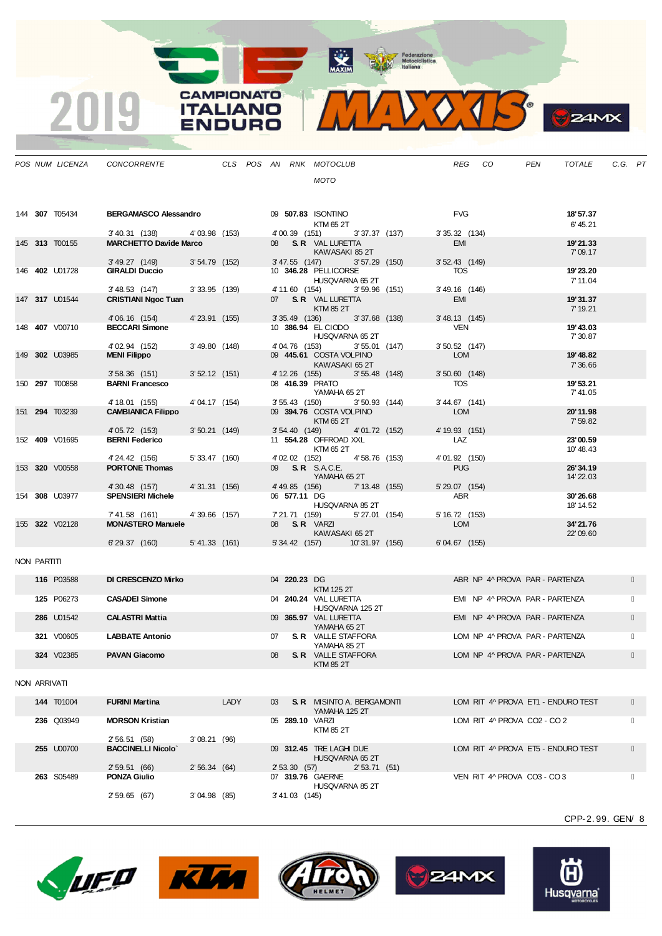Federazione<br>
Motociclistica<br>
taliana

**WAXIM** 

**CAMPIONATO** 

**ITALIANO** 

VDURO



|             | POS NUM LICENZA       | CONCORRENTE                                 |                 |  |    |                 | CLS POS AN RNK MOTOCLUB                        |                 |  | <b>REG</b>                    | CO |                                | <b>PEN</b> | <b>TOTALE</b>        | C.G. PT |  |
|-------------|-----------------------|---------------------------------------------|-----------------|--|----|-----------------|------------------------------------------------|-----------------|--|-------------------------------|----|--------------------------------|------------|----------------------|---------|--|
|             |                       |                                             |                 |  |    |                 | <b>MOTO</b>                                    |                 |  |                               |    |                                |            |                      |         |  |
|             |                       |                                             |                 |  |    |                 |                                                |                 |  |                               |    |                                |            |                      |         |  |
|             |                       |                                             |                 |  |    |                 |                                                |                 |  |                               |    |                                |            |                      |         |  |
|             | 144 307 T05434        | <b>BERGAMASCO Alessandro</b>                |                 |  |    |                 | 09 507.83 ISONTINO                             |                 |  | <b>FVG</b>                    |    |                                |            | 18'57.37             |         |  |
|             |                       | 3' 40.31 (138)                              | 4'03.98 (153)   |  |    | 4'00.39 (151)   | KTM 65 2T                                      | 3'37.37(137)    |  | $3'35.32$ (134)               |    |                                |            | 6' 45.21             |         |  |
|             | 145 313 T00155        | <b>MARCHETTO Davide Marco</b>               |                 |  |    |                 | 08 S.R. VAL LURETTA                            |                 |  | <b>EMI</b>                    |    |                                |            | 19'21.33             |         |  |
|             |                       |                                             |                 |  |    |                 | KAWASAKI 85 2T                                 |                 |  |                               |    |                                |            | 7'09.17              |         |  |
|             | 146 <b>402</b> U01728 | $3'49.27$ (149)<br><b>GIRALDI Duccio</b>    | $3'54.79$ (152) |  |    | 3' 47.55 (147)  | 10 346.28 PELLICORSE                           | $3'57.29$ (150) |  | $3'52.43$ (149)<br><b>TOS</b> |    |                                |            | 19'23.20             |         |  |
|             |                       |                                             |                 |  |    |                 | HUSQVARNA 65 2T                                |                 |  |                               |    |                                |            | 7' 11.04             |         |  |
|             |                       | $3'$ 48.53 $(147)$                          | $3'33.95$ (139) |  |    | 4' 11.60 (154)  |                                                | $3'59.96$ (151) |  | 3' 49.16 (146)                |    |                                |            |                      |         |  |
|             | 147 317 U01544        | <b>CRISTIANI Naoc Tuan</b>                  |                 |  |    |                 | 07 S.R. VAL LURETTA<br>KTM 85 2T               |                 |  | EMI                           |    |                                |            | 19'31.37<br>7' 19.21 |         |  |
|             |                       | 4'06.16 (154)                               | 4' 23.91 (155)  |  |    | $3'35.49$ (136) |                                                | 3'37.68 (138)   |  | 3' 48.13 (145)                |    |                                |            |                      |         |  |
|             | 148 <b>407</b> V00710 | <b>BECCARI Simone</b>                       |                 |  |    |                 | 10 386.94 EL CIODO                             |                 |  | <b>VEN</b>                    |    |                                |            | 19' 43.03            |         |  |
|             |                       | 4' 02.94 (152)                              | 3'49.80(148)    |  |    | 4'04.76 (153)   | HUSQVARNA 65 2T                                | $3'55.01$ (147) |  | $3'50.52$ (147)               |    |                                |            | 7' 30.87             |         |  |
|             | 149 302 U03985        | <b>MENI Filippo</b>                         |                 |  |    |                 | 09 445.61 COSTA VOLPINO                        |                 |  | <b>LOM</b>                    |    |                                |            | 19' 48.82            |         |  |
|             |                       |                                             |                 |  |    |                 | KAWASAKI 65 2T                                 |                 |  |                               |    |                                |            | 7'36.66              |         |  |
|             | 150 297 T00858        | $3'58.36$ (151)<br><b>BARNI Francesco</b>   | $3'52.12$ (151) |  |    | 4' 12.26 (155)  | 08 416.39 PRATO                                | $3'55.48$ (148) |  | $3'50.60$ (148)<br><b>TOS</b> |    |                                |            | 19'53.21             |         |  |
|             |                       |                                             |                 |  |    |                 | YAMAHA 65 2T                                   |                 |  |                               |    |                                |            | 7'41.05              |         |  |
|             | 151 294 T03239        | 4' 18.01 (155)<br><b>CAMBIANICA Filippo</b> | 4'04.17 (154)   |  |    | $3'55.43$ (150) | 09 394.76 COSTA VOLPINO                        | $3'50.93$ (144) |  | 3'44.67 (141)<br><b>LOM</b>   |    |                                |            | 20'11.98             |         |  |
|             |                       |                                             |                 |  |    |                 | KTM 65 2T                                      |                 |  |                               |    |                                |            | 7'59.82              |         |  |
|             |                       | 4' 05.72 (153)                              | $3'50.21$ (149) |  |    | 3'54.40(149)    |                                                | 4' 01.72 (152)  |  | 4' 19.93 (151)                |    |                                |            |                      |         |  |
|             | 152 409 V01695        | <b>BERNI Federico</b>                       |                 |  |    |                 | 11 554.28 OFFROAD XXL<br>KTM 65 2T             |                 |  | LAZ                           |    |                                |            | 23'00.59<br>10'48.43 |         |  |
|             |                       | 4'24.42 (156)                               | 5' 33.47 (160)  |  |    | 4' 02.02 (152)  |                                                | 4'58.76 (153)   |  | 4'01.92 (150)                 |    |                                |            |                      |         |  |
|             | 153 320 V00558        | <b>PORTONE Thomas</b>                       |                 |  |    |                 | 09 <b>S.R.</b> S.A.C.E.                        |                 |  | <b>PUG</b>                    |    |                                |            | 26'34.19             |         |  |
|             |                       | 4'30.48 (157)                               | 4'31.31 (156)   |  |    |                 | YAMAHA 652T<br>4' 49.85 (156) 7' 13.48 (155)   |                 |  | 5' 29.07 (154)                |    |                                |            | 14' 22.03            |         |  |
|             | 154 308 U03977        | <b>SPENSIERI Michele</b>                    |                 |  |    | 06 577.11 DG    |                                                |                 |  | <b>ABR</b>                    |    |                                |            | 30'26.68             |         |  |
|             |                       |                                             |                 |  |    |                 | HUSQVARNA 85 2T                                |                 |  |                               |    |                                |            | 18' 14.52            |         |  |
|             | 155 322 V02128        | 7'41.58 (161)<br><b>MONASTERO Manuele</b>   | 4'39.66 (157)   |  |    |                 | 7'21.71 (159)<br>08 <b>S.R.</b> VARZI          | 5' 27.01 (154)  |  | 5' 16.72 (153)<br><b>LOM</b>  |    |                                |            | 34'21.76             |         |  |
|             |                       |                                             |                 |  |    |                 | KAWASAKI 652T                                  |                 |  |                               |    |                                |            | 22'09.60             |         |  |
|             |                       | 6'29.37 (160) 5'41.33 (161)                 |                 |  |    |                 | 5' 34.42 (157) 10' 31.97 (156)                 |                 |  | $6'04.67$ (155)               |    |                                |            |                      |         |  |
| NON PARTITI |                       |                                             |                 |  |    |                 |                                                |                 |  |                               |    |                                |            |                      |         |  |
|             |                       |                                             |                 |  |    |                 |                                                |                 |  |                               |    |                                |            |                      |         |  |
|             | 116 P03588            | <b>DI CRESCENZO Mirko</b>                   |                 |  |    | 04 220.23 DG    | KTM 125 2T                                     |                 |  |                               |    | ABR NP 4^ PROVA PAR - PARTENZA |            |                      |         |  |
|             | 125 P06273            | <b>CASADEI Simone</b>                       |                 |  |    |                 | 04 240.24 VAL LURETTA                          |                 |  |                               |    | EMI NP 4^ PROVA PAR - PARTENZA |            |                      |         |  |
|             |                       |                                             |                 |  |    |                 | HUSQVARNA 125 2T                               |                 |  |                               |    |                                |            |                      |         |  |
|             | 286 U01542            | <b>CALASTRI Mattia</b>                      |                 |  |    |                 | 09 365.97 VAL LURETTA<br>YAMAHA 652T           |                 |  |                               |    | EMI NP 4^ PROVA PAR - PARTENZA |            |                      |         |  |
|             | 321 V00605            | <b>LABBATE Antonio</b>                      |                 |  | 07 |                 | <b>S. R</b> VALLE STAFFORA                     |                 |  |                               |    | LOM NP 4^ PROVA PAR - PARTENZA |            |                      |         |  |
|             |                       |                                             |                 |  |    |                 | YAMAHA 852T                                    |                 |  |                               |    |                                |            |                      |         |  |
|             | 324 V02385            | <b>PAVAN Giacomo</b>                        |                 |  | 08 |                 | <b>S. R</b> VALLE STAFFORA<br><b>KTM 85 2T</b> |                 |  |                               |    | LOM NP 4^ PROVA PAR - PARTENZA |            |                      |         |  |
|             |                       |                                             |                 |  |    |                 |                                                |                 |  |                               |    |                                |            |                      |         |  |

NON ARRIVATI

 $\overline{\mathbf{2}}$ 

| <b>144 T01004</b> | <b>FURINI Martina</b>        | LADY | 03 <sup>2</sup>  | <b>S.R.</b> MISINTO A. BERGAMONTI<br>YAMAHA 125 2T | LOM RIT 4^ PROVA ET1 - ENDURO TEST |
|-------------------|------------------------------|------|------------------|----------------------------------------------------|------------------------------------|
| 236 Q03949        | <b>MORSON Kristian</b>       |      | 05 289.10 VARZI  | KTM 85 2T                                          | LOM RIT 4^ PROVA CO2 - CO 2        |
|                   | 2' 56.51 (58)<br>3'08.21(96) |      |                  |                                                    |                                    |
| <b>255 U00700</b> | <b>BACCINELLI Nicolo</b>     |      |                  | 09 312.45 TRE LAGHI DUE<br>HUSQVARNA 65 2T         | LOM RIT 4^ PROVA ET5 - ENDURO TEST |
|                   | 2' 59.51 (66)<br>2'56.34(64) |      | 2' 53.30 (57)    | 2'53.71 (51)                                       |                                    |
| 263 S05489        | <b>PONZA Giulio</b>          |      | 07 319.76 GAERNE | HUSQVARNA 85 2T                                    | VEN RIT 4^ PROVA CO3 - CO3         |
|                   | 2'59.65(67)<br>3'04.98(85)   |      | 3' 41.03         | (145)                                              |                                    |

CPP-2. 99. GEN/ 8